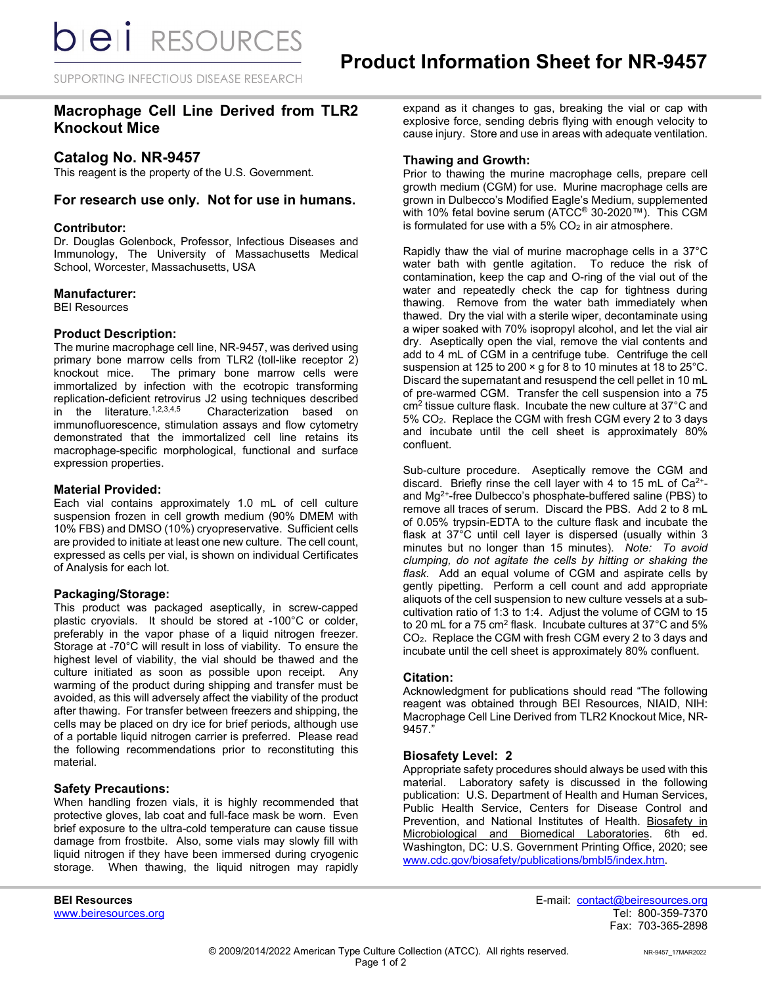SUPPORTING INFECTIOUS DISEASE RESEARCH

# **Macrophage Cell Line Derived from TLR2 Knockout Mice**

## **Catalog No. NR-9457**

This reagent is the property of the U.S. Government.

### **For research use only. Not for use in humans.**

#### **Contributor:**

Dr. Douglas Golenbock, Professor, Infectious Diseases and Immunology, The University of Massachusetts Medical School, Worcester, Massachusetts, USA

### **Manufacturer:**

BEI Resources

#### **Product Description:**

The murine macrophage cell line, NR-9457, was derived using primary bone marrow cells from TLR2 (toll-like receptor 2) knockout mice. The primary bone marrow cells were immortalized by infection with the ecotropic transforming replication-deficient retrovirus J2 using techniques described<br>in the literature.<sup>1,2,3,4,5</sup> Characterization based on Characterization based on immunofluorescence, stimulation assays and flow cytometry demonstrated that the immortalized cell line retains its macrophage-specific morphological, functional and surface expression properties.

#### **Material Provided:**

Each vial contains approximately 1.0 mL of cell culture suspension frozen in cell growth medium (90% DMEM with 10% FBS) and DMSO (10%) cryopreservative. Sufficient cells are provided to initiate at least one new culture. The cell count, expressed as cells per vial, is shown on individual Certificates of Analysis for each lot.

#### **Packaging/Storage:**

This product was packaged aseptically, in screw-capped plastic cryovials. It should be stored at -100°C or colder, preferably in the vapor phase of a liquid nitrogen freezer. Storage at -70°C will result in loss of viability. To ensure the highest level of viability, the vial should be thawed and the culture initiated as soon as possible upon receipt. Any warming of the product during shipping and transfer must be avoided, as this will adversely affect the viability of the product after thawing. For transfer between freezers and shipping, the cells may be placed on dry ice for brief periods, although use of a portable liquid nitrogen carrier is preferred. Please read the following recommendations prior to reconstituting this material.

#### **Safety Precautions:**

When handling frozen vials, it is highly recommended that protective gloves, lab coat and full-face mask be worn. Even brief exposure to the ultra-cold temperature can cause tissue damage from frostbite. Also, some vials may slowly fill with liquid nitrogen if they have been immersed during cryogenic storage. When thawing, the liquid nitrogen may rapidly

expand as it changes to gas, breaking the vial or cap with explosive force, sending debris flying with enough velocity to cause injury. Store and use in areas with adequate ventilation.

#### **Thawing and Growth:**

Prior to thawing the murine macrophage cells, prepare cell growth medium (CGM) for use. Murine macrophage cells are grown in Dulbecco's Modified Eagle's Medium, supplemented with 10% fetal bovine serum (ATCC® 30-2020™). This CGM is formulated for use with a  $5\%$  CO<sub>2</sub> in air atmosphere.

Rapidly thaw the vial of murine macrophage cells in a 37°C water bath with gentle agitation. To reduce the risk of contamination, keep the cap and O-ring of the vial out of the water and repeatedly check the cap for tightness during thawing. Remove from the water bath immediately when thawed. Dry the vial with a sterile wiper, decontaminate using a wiper soaked with 70% isopropyl alcohol, and let the vial air dry. Aseptically open the vial, remove the vial contents and add to 4 mL of CGM in a centrifuge tube. Centrifuge the cell suspension at 125 to 200 × g for 8 to 10 minutes at 18 to 25°C. Discard the supernatant and resuspend the cell pellet in 10 mL of pre-warmed CGM. Transfer the cell suspension into a 75 cm2 tissue culture flask. Incubate the new culture at 37°C and 5% CO2. Replace the CGM with fresh CGM every 2 to 3 days and incubate until the cell sheet is approximately 80% confluent.

Sub-culture procedure. Aseptically remove the CGM and discard. Briefly rinse the cell layer with 4 to 15 mL of  $Ca^{2+}$ and Mg2+-free Dulbecco's phosphate-buffered saline (PBS) to remove all traces of serum. Discard the PBS. Add 2 to 8 mL of 0.05% trypsin-EDTA to the culture flask and incubate the flask at 37°C until cell layer is dispersed (usually within 3 minutes but no longer than 15 minutes). *Note: To avoid clumping, do not agitate the cells by hitting or shaking the flask.* Add an equal volume of CGM and aspirate cells by gently pipetting. Perform a cell count and add appropriate aliquots of the cell suspension to new culture vessels at a subcultivation ratio of 1:3 to 1:4. Adjust the volume of CGM to 15 to 20 mL for a 75 cm<sup>2</sup> flask. Incubate cultures at 37 $^{\circ}$ C and 5% CO2. Replace the CGM with fresh CGM every 2 to 3 days and incubate until the cell sheet is approximately 80% confluent.

#### **Citation:**

Acknowledgment for publications should read "The following reagent was obtained through BEI Resources, NIAID, NIH: Macrophage Cell Line Derived from TLR2 Knockout Mice, NR-9457."

#### **Biosafety Level: 2**

Appropriate safety procedures should always be used with this material. Laboratory safety is discussed in the following publication: U.S. Department of Health and Human Services, Public Health Service, Centers for Disease Control and Prevention, and National Institutes of Health. Biosafety in Microbiological and Biomedical Laboratories. 6th ed. Washington, DC: U.S. Government Printing Office, 2020; see [www.cdc.gov/biosafety/publications/bmbl5/index.htm.](http://www.cdc.gov/biosafety/publications/bmbl5/index.htm)

**BEI Resources** E-mail: contact@beiresources.org Fax: 703-365-2898